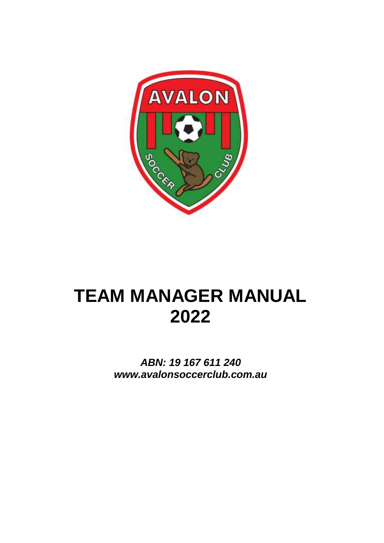

# **TEAM MANAGER MANUAL 2022**

*ABN: 19 167 611 240 www.avalonsoccerclub.com.au*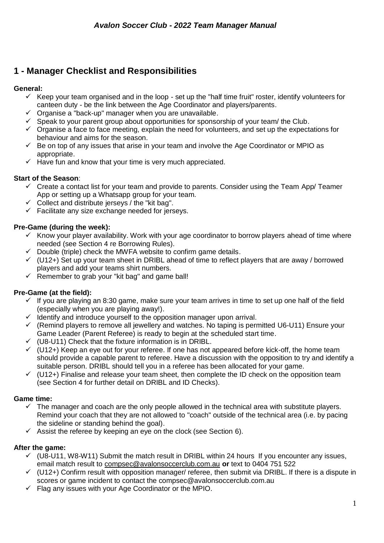# **1 - Manager Checklist and Responsibilities**

### **General:**

- $\checkmark$  Keep your team organised and in the loop set up the "half time fruit" roster, identify volunteers for canteen duty - be the link between the Age Coordinator and players/parents.
- $\checkmark$  Organise a "back-up" manager when you are unavailable.
- $\checkmark$  Speak to your parent group about opportunities for sponsorship of your team/ the Club.
- $\checkmark$  Organise a face to face meeting, explain the need for volunteers, and set up the expectations for behaviour and aims for the season.
- $\checkmark$  Be on top of any issues that arise in your team and involve the Age Coordinator or MPIO as appropriate.
- $\checkmark$  Have fun and know that your time is very much appreciated.

### **Start of the Season**:

- $\checkmark$  Create a contact list for your team and provide to parents. Consider using the Team App/ Teamer App or setting up a Whatsapp group for your team.
- $\checkmark$  Collect and distribute jerseys / the "kit bag".
- $\checkmark$  Facilitate any size exchange needed for jerseys.

### **Pre-Game (during the week):**

- $\checkmark$  Know your player availability. Work with your age coordinator to borrow players ahead of time where needed (see Section 4 re Borrowing Rules).
- $\checkmark$  Double (triple) check the MWFA website to confirm game details.
- $\checkmark$  (U12+) Set up your team sheet in DRIBL ahead of time to reflect players that are away / borrowed players and add your teams shirt numbers.
- $\checkmark$  Remember to grab your "kit bag" and game ball!

### **Pre-Game (at the field):**

- $\checkmark$  If you are playing an 8:30 game, make sure your team arrives in time to set up one half of the field (especially when you are playing away!).
- $\checkmark$  Identify and introduce yourself to the opposition manager upon arrival.
- $\checkmark$  (Remind players to remove all jewellery and watches. No taping is permitted U6-U11) Ensure your Game Leader (Parent Referee) is ready to begin at the scheduled start time.
- $\checkmark$  (U8-U11) Check that the fixture information is in DRIBL.
- $\checkmark$  (U12+) Keep an eye out for your referee. If one has not appeared before kick-off, the home team should provide a capable parent to referee. Have a discussion with the opposition to try and identify a suitable person. DRIBL should tell you in a referee has been allocated for your game.
- $\checkmark$  (U12+) Finalise and release your team sheet, then complete the ID check on the opposition team (see Section 4 for further detail on DRIBL and ID Checks).

### **Game time:**

- $\checkmark$  The manager and coach are the only people allowed in the technical area with substitute players. Remind your coach that they are not allowed to "coach" outside of the technical area (i.e. by pacing the sideline or standing behind the goal).
- $\checkmark$  Assist the referee by keeping an eye on the clock (see Section 6).

### **After the game:**

- $\checkmark$  (U8-U11, W8-W11) Submit the match result in DRIBL within 24 hours If you encounter any issues, email match result to [compsec@avalonsoccerclub.com.au](mailto:compsec@avalonsoccerclub.com.au) **or** text to 0404 751 522
- $\checkmark$  (U12+) Confirm result with opposition manager/ referee, then submit via DRIBL. If there is a dispute in scores or game incident to contact the compsec@avalonsoccerclub.com.au
- $\checkmark$  Flag any issues with your Age Coordinator or the MPIO.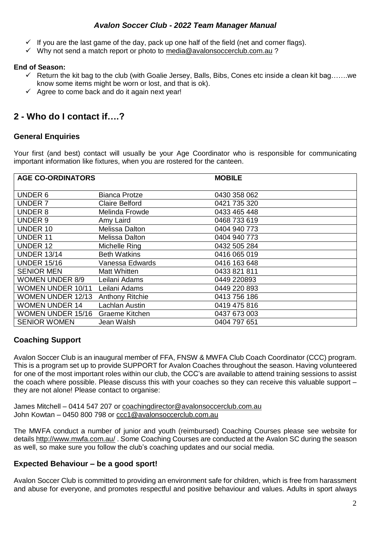- $\checkmark$  If you are the last game of the day, pack up one half of the field (net and corner flags).
- $\checkmark$  Why not send a match report or photo to [media@avalonsoccerclub.com.au](mailto:media@avalonsoccerclub.com.au) ?

### **End of Season:**

- $\checkmark$  Return the kit bag to the club (with Goalie Jersey, Balls, Bibs, Cones etc inside a clean kit bag.......we know some items might be worn or lost, and that is ok).
- $\checkmark$  Agree to come back and do it again next year!

# **2 - Who do I contact if….?**

### **General Enquiries**

Your first (and best) contact will usually be your Age Coordinator who is responsible for communicating important information like fixtures, when you are rostered for the canteen.

| <b>AGE CO-ORDINATORS</b> |                        | <b>MOBILE</b> |
|--------------------------|------------------------|---------------|
| UNDER 6                  | <b>Bianca Protze</b>   | 0430 358 062  |
| UNDER 7                  | <b>Claire Belford</b>  | 0421 735 320  |
| <b>UNDER 8</b>           | Melinda Frowde         | 0433 465 448  |
| UNDER 9                  | Amy Laird              | 0468 733 619  |
| <b>UNDER 10</b>          | Melissa Dalton         | 0404 940 773  |
| <b>UNDER 11</b>          | Melissa Dalton         | 0404 940 773  |
| <b>UNDER 12</b>          | Michelle Ring          | 0432 505 284  |
| <b>UNDER 13/14</b>       | <b>Beth Watkins</b>    | 0416 065 019  |
| <b>UNDER 15/16</b>       | Vanessa Edwards        | 0416 163 648  |
| <b>SENIOR MEN</b>        | Matt Whitten           | 0433 821 811  |
| <b>WOMEN UNDER 8/9</b>   | Leilani Adams          | 0449 220893   |
| <b>WOMEN UNDER 10/11</b> | Leilani Adams          | 0449 220 893  |
| <b>WOMEN UNDER 12/13</b> | <b>Anthony Ritchie</b> | 0413 756 186  |
| <b>WOMEN UNDER 14</b>    | Lachlan Austin         | 0419 475 816  |
| <b>WOMEN UNDER 15/16</b> | Graeme Kitchen         | 0437 673 003  |
| <b>SENIOR WOMEN</b>      | Jean Walsh             | 0404 797 651  |

### **Coaching Support**

Avalon Soccer Club is an inaugural member of FFA, FNSW & MWFA Club Coach Coordinator (CCC) program. This is a program set up to provide SUPPORT for Avalon Coaches throughout the season. Having volunteered for one of the most important roles within our club, the CCC's are available to attend training sessions to assist the coach where possible. Please discuss this with your coaches so they can receive this valuable support – they are not alone! Please contact to organise:

James Mitchell – 0414 547 207 or [coachingdirector@avalonsoccerclub.com.au](mailto:coachingdirector@avalonsoccerclub.com.au) John Kowtan – 0450 800 798 or [ccc1@avalonsoccerclub.com.au](mailto:ccc1@avalonsoccerclub.com.au)

The MWFA conduct a number of junior and youth (reimbursed) Coaching Courses please see website for details <http://www.mwfa.com.au/> . Some Coaching Courses are conducted at the Avalon SC during the season as well, so make sure you follow the club's coaching updates and our social media.

### **Expected Behaviour – be a good sport!**

Avalon Soccer Club is committed to providing an environment safe for children, which is free from harassment and abuse for everyone, and promotes respectful and positive behaviour and values. Adults in sport always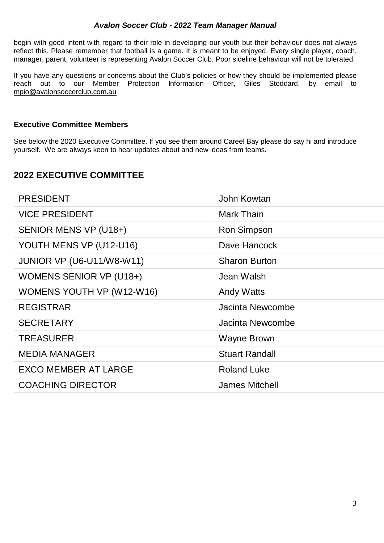begin with good intent with regard to their role in developing our youth but their behaviour does not always reflect this. Please remember that football is a game. It is meant to be enjoyed. Every single player, coach, manager, parent, volunteer is representing Avalon Soccer Club. Poor sideline behaviour will not be tolerated.

If you have any questions or concerns about the Club's policies or how they should be implemented please reach out to our Member Protection Information Officer, Giles Stoddard, by email to [mpio@avalonsoccerclub.com.au](mailto:mpio@avalonsoccerclub.com.au)

### **Executive Committee Members**

See below the 2020 Executive Committee. If you see them around Careel Bay please do say hi and introduce yourself. We are always keen to hear updates about and new ideas from teams.

### **2022 EXECUTIVE COMMITTEE**

| <b>PRESIDENT</b>                 | John Kowtan           |
|----------------------------------|-----------------------|
| <b>VICE PRESIDENT</b>            | Mark Thain            |
| SENIOR MENS VP (U18+)            | <b>Ron Simpson</b>    |
| YOUTH MENS VP (U12-U16)          | Dave Hancock          |
| <b>JUNIOR VP (U6-U11/W8-W11)</b> | <b>Sharon Burton</b>  |
| <b>WOMENS SENIOR VP (U18+)</b>   | Jean Walsh            |
| WOMENS YOUTH VP (W12-W16)        | <b>Andy Watts</b>     |
| <b>REGISTRAR</b>                 | Jacinta Newcombe      |
| <b>SECRETARY</b>                 | Jacinta Newcombe      |
| <b>TREASURER</b>                 | <b>Wayne Brown</b>    |
| <b>MEDIA MANAGER</b>             | <b>Stuart Randall</b> |
| <b>EXCO MEMBER AT LARGE</b>      | <b>Roland Luke</b>    |
| <b>COACHING DIRECTOR</b>         | <b>James Mitchell</b> |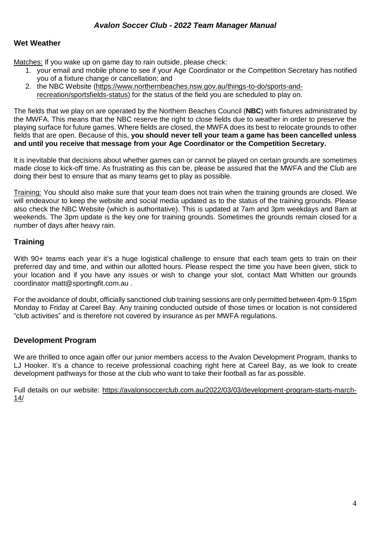### **Wet Weather**

Matches: If you wake up on game day to rain outside, please check:

- 1. your email and mobile phone to see if your Age Coordinator or the Competition Secretary has notified you of a fixture change or cancellation; and
- 2. the NBC Website [\(https://www.northernbeaches.nsw.gov.au/things-to-do/sports-and](https://www.northernbeaches.nsw.gov.au/things-to-do/sports-and-recreation/sportsfields-status)[recreation/sportsfields-status\)](https://www.northernbeaches.nsw.gov.au/things-to-do/sports-and-recreation/sportsfields-status) for the status of the field you are scheduled to play on.

The fields that we play on are operated by the Northern Beaches Council (**NBC**) with fixtures administrated by the MWFA. This means that the NBC reserve the right to close fields due to weather in order to preserve the playing surface for future games. Where fields are closed, the MWFA does its best to relocate grounds to other fields that are open. Because of this, **you should never tell your team a game has been cancelled unless and until you receive that message from your Age Coordinator or the Competition Secretary.**

It is inevitable that decisions about whether games can or cannot be played on certain grounds are sometimes made close to kick-off time. As frustrating as this can be, please be assured that the MWFA and the Club are doing their best to ensure that as many teams get to play as possible.

Training: You should also make sure that your team does not train when the training grounds are closed. We will endeavour to keep the website and social media updated as to the status of the training grounds. Please also check the NBC Website (which is authoritative). This is updated at 7am and 3pm weekdays and 8am at weekends. The 3pm update is the key one for training grounds. Sometimes the grounds remain closed for a number of days after heavy rain.

### **Training**

With 90+ teams each year it's a huge logistical challenge to ensure that each team gets to train on their preferred day and time, and within our allotted hours. Please respect the time you have been given, stick to your location and if you have any issues or wish to change your slot, contact Matt Whitten our grounds coordinator matt@sportingfit.com.au .

For the avoidance of doubt, officially sanctioned club training sessions are only permitted between 4pm-9.15pm Monday to Friday at Careel Bay. Any training conducted outside of those times or location is not considered "club activities" and is therefore not covered by insurance as per MWFA regulations.

### **Development Program**

We are thrilled to once again offer our junior members access to the Avalon Development Program, thanks to LJ Hooker. It's a chance to receive professional coaching right here at Careel Bay, as we look to create development pathways for those at the club who want to take their football as far as possible.

Full details on our website: [https://avalonsoccerclub.com.au/2022/03/03/development-program-starts-march-](https://avalonsoccerclub.com.au/2022/03/03/development-program-starts-march-14/)[14/](https://avalonsoccerclub.com.au/2022/03/03/development-program-starts-march-14/)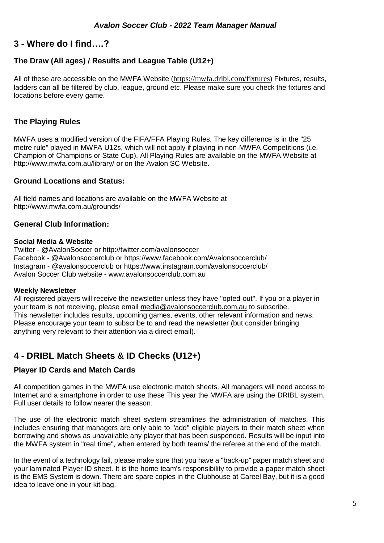## **3 - Where do I find….?**

### **The Draw (All ages) / Results and League Table (U12+)**

All of these are accessible on the MWFA Website (<https://mwfa.dribl.com/fixtures>) Fixtures, results, ladders can all be filtered by club, league, ground etc. Please make sure you check the fixtures and locations before every game.

### **The Playing Rules**

MWFA uses a modified version of the FIFA/FFA Playing Rules. The key difference is in the "25 metre rule" played in MWFA U12s, which will not apply if playing in non-MWFA Competitions (i.e. Champion of Champions or State Cup). All Playing Rules are available on the MWFA Website at <http://www.mwfa.com.au/library/> or on the Avalon SC Website.

### **Ground Locations and Status:**

All field names and locations are available on the MWFA Website at <http://www.mwfa.com.au/grounds/>

### **General Club Information:**

### **Social Media & Website**

Twitter - @AvalonSoccer or <http://twitter.com/avalonsoccer> Facebook - @Avalonsoccerclub or <https://www.facebook.com/Avalonsoccerclub/> Instagram - @avalonsoccerclub or https://www.instagram.com/avalonsoccerclub/ Avalon Soccer Club website - [www.avalonsoccerclub.com.au](http://www.avalonsoccerclub.com.au/)

### **Weekly Newsletter**

All registered players will receive the newsletter unless they have "opted-out". If you or a player in your team is not receiving, please email [media@avalonsoccerclub.com.au](mailto:media@avalonsoccerclub.com.au) to subscribe. This newsletter includes results, upcoming games, events, other relevant information and news. Please encourage your team to subscribe to and read the newsletter (but consider bringing anything very relevant to their attention via a direct email).

## **4 - DRIBL Match Sheets & ID Checks (U12+)**

### **Player ID Cards and Match Cards**

All competition games in the MWFA use electronic match sheets. All managers will need access to Internet and a smartphone in order to use these This year the MWFA are using the DRIBL system. Full user details to follow nearer the season.

The use of the electronic match sheet system streamlines the administration of matches. This includes ensuring that managers are only able to "add" eligible players to their match sheet when borrowing and shows as unavailable any player that has been suspended. Results will be input into the MWFA system in "real time", when entered by both teams/ the referee at the end of the match.

In the event of a technology fail, please make sure that you have a "back-up" paper match sheet and your laminated Player ID sheet. It is the home team's responsibility to provide a paper match sheet is the EMS System is down. There are spare copies in the Clubhouse at Careel Bay, but it is a good idea to leave one in your kit bag.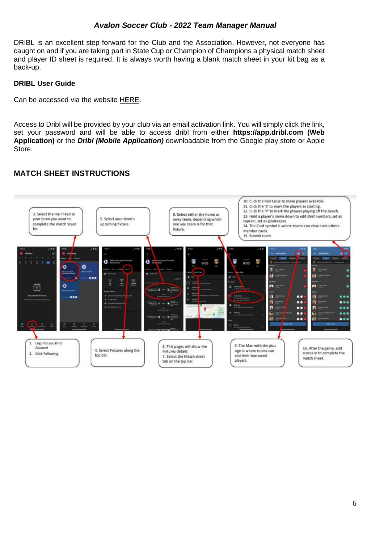DRIBL is an excellent step forward for the Club and the Association. However, not everyone has caught on and if you are taking part in State Cup or Champion of Champions a physical match sheet and player ID sheet is required. It is always worth having a blank match sheet in your kit bag as a back-up.

### **DRIBL User Guide**

Can be accessed via the website [HERE.](https://avalonsoccerclub.com.au/wp-content/uploads/2021/04/Club-04-Competition-MWFA-1.pdf)

Access to Dribl will be provided by your club via an email activation link. You will simply click the link, set your password and will be able to access dribl from either **https://app.dribl.com (Web Application)** or the *Dribl (Mobile Application)* downloadable from the Google play store or Apple Store.

### **MATCH SHEET INSTRUCTIONS**

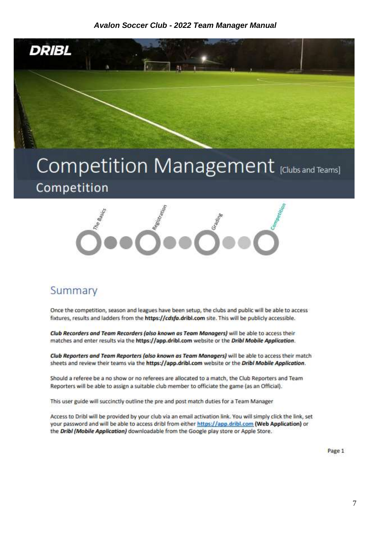![](_page_7_Picture_1.jpeg)

# Competition Management [Clubs and Teams] Competition

![](_page_7_Picture_3.jpeg)

# Summary

Once the competition, season and leagues have been setup, the clubs and public will be able to access fixtures, results and ladders from the https://cdsfa.dribl.com site. This will be publicly accessible.

Club Recorders and Team Recorders (also known as Team Managers) will be able to access their matches and enter results via the https://app.dribl.com website or the Dribl Mobile Application.

Club Reporters and Team Reporters (also known as Team Managers) will be able to access their match sheets and review their teams via the https://app.dribl.com website or the Dribl Mobile Application.

Should a referee be a no show or no referees are allocated to a match, the Club Reporters and Team Reporters will be able to assign a suitable club member to officiate the game (as an Official).

This user guide will succinctly outline the pre and post match duties for a Team Manager

Access to Dribl will be provided by your club via an email activation link. You will simply click the link, set your password and will be able to access dribl from either https://app.dribl.com (Web Application) or the Dribl (Mobile Application) downloadable from the Google play store or Apple Store.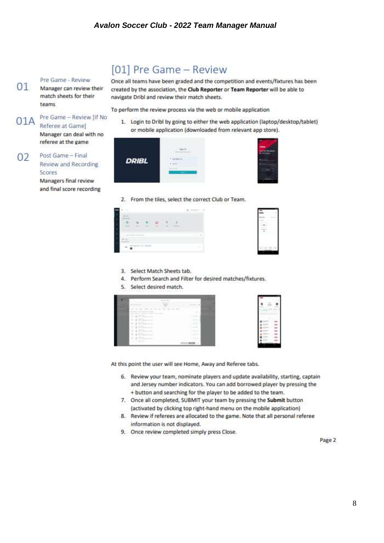Pre Game - Review  $01$ Manager can review their match sheets for their teams

Pre Game - Review IIf No.  $01A$ Referee at Gamel

Manager can deal with no referee at the game

Post Game - Final  $02$ Review and Recording Scores Managers final review and final score recording

# [01] Pre Game - Review

Once all teams have been graded and the competition and events/fixtures has been created by the association, the Club Reporter or Team Reporter will be able to navigate Dribl and review their match sheets.

To perform the review process via the web or mobile application

1. Login to Dribl by going to either the web application (laptop/desktop/tablet) or mobile application (downloaded from relevant app store).

| <b>DRIBL</b> |  |
|--------------|--|
|              |  |

2. From the tiles, select the correct Club or Team.

![](_page_8_Figure_11.jpeg)

![](_page_8_Figure_12.jpeg)

- 3. Select Match Sheets tab.
- 4. Perform Search and Filter for desired matches/fixtures.
- 5. Select desired match.

![](_page_8_Figure_16.jpeg)

![](_page_8_Figure_17.jpeg)

At this point the user will see Home, Away and Referee tabs.

- 6. Review your team, nominate players and update availability, starting, captain and Jersey number indicators. You can add borrowed player by pressing the + button and searching for the player to be added to the team.
- 7. Once all completed, SUBMIT your team by pressing the Submit button (activated by clicking top right-hand menu on the mobile application)
- 8. Review if referees are allocated to the game. Note that all personal referee information is not displayed.
- 9. Once review completed simply press Close.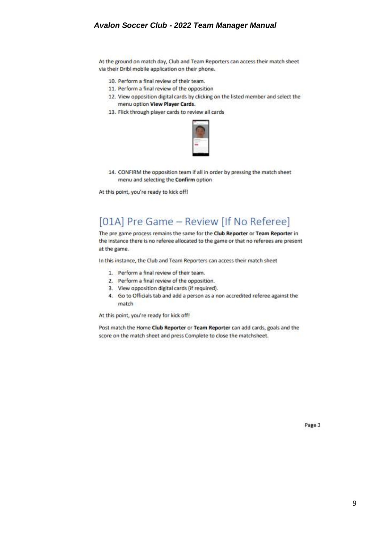At the ground on match day, Club and Team Reporters can access their match sheet via their Dribl mobile application on their phone.

- 10. Perform a final review of their team.
- 11. Perform a final review of the opposition
- 12. View opposition digital cards by clicking on the listed member and select the menu option View Player Cards.
- 13. Flick through player cards to review all cards

![](_page_9_Picture_6.jpeg)

14. CONFIRM the opposition team if all in order by pressing the match sheet menu and selecting the Confirm option

At this point, you're ready to kick off!

# [01A] Pre Game - Review [If No Referee]

The pre game process remains the same for the Club Reporter or Team Reporter in the instance there is no referee allocated to the game or that no referees are present at the game.

In this instance, the Club and Team Reporters can access their match sheet

- 1. Perform a final review of their team.
- 2. Perform a final review of the opposition.
- 3. View opposition digital cards (if required).
- 4. Go to Officials tab and add a person as a non accredited referee against the match

At this point, you're ready for kick off!

Post match the Home Club Reporter or Team Reporter can add cards, goals and the score on the match sheet and press Complete to close the matchsheet.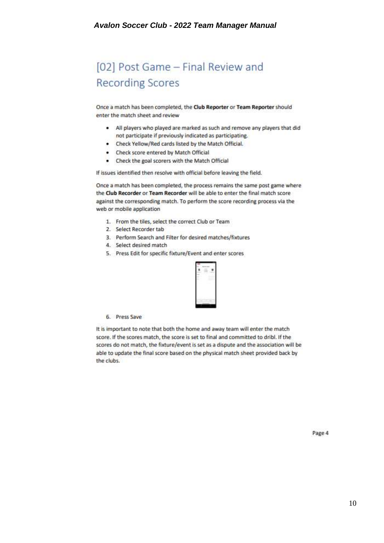# [02] Post Game - Final Review and **Recording Scores**

Once a match has been completed, the Club Reporter or Team Reporter should enter the match sheet and review

- . All players who played are marked as such and remove any players that did not participate if previously indicated as participating.
- . Check Yellow/Red cards listed by the Match Official.
- Check score entered by Match Official
- Check the goal scorers with the Match Official

If issues identified then resolve with official before leaving the field.

Once a match has been completed, the process remains the same post game where the Club Recorder or Team Recorder will be able to enter the final match score against the corresponding match. To perform the score recording process via the web or mobile application

- 1. From the tiles, select the correct Club or Team
- 2. Select Recorder tab
- 3. Perform Search and Filter for desired matches/fixtures
- 4. Select desired match
- 5. Press Edit for specific fixture/Event and enter scores

![](_page_10_Figure_14.jpeg)

#### 6. Press Save

It is important to note that both the home and away team will enter the match score. If the scores match, the score is set to final and committed to dribl. If the scores do not match, the fixture/event is set as a dispute and the association will be able to update the final score based on the physical match sheet provided back by the clubs.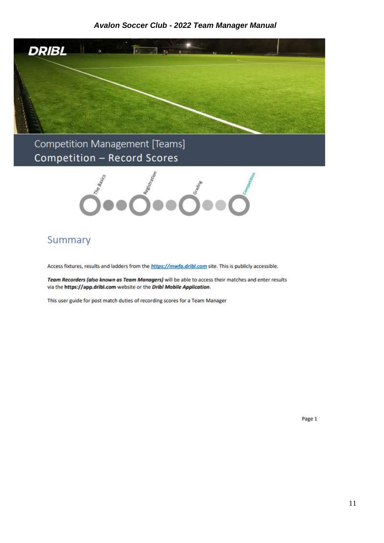![](_page_11_Picture_1.jpeg)

Competition Management [Teams] **Competition - Record Scores** 

![](_page_11_Picture_3.jpeg)

# Summary

Access fixtures, results and ladders from the https://mwfa.dribl.com site. This is publicly accessible.

Team Recorders (also known as Team Managers) will be able to access their matches and enter results via the https://app.dribl.com website or the Dribl Mobile Application.

This user guide for post match duties of recording scores for a Team Manager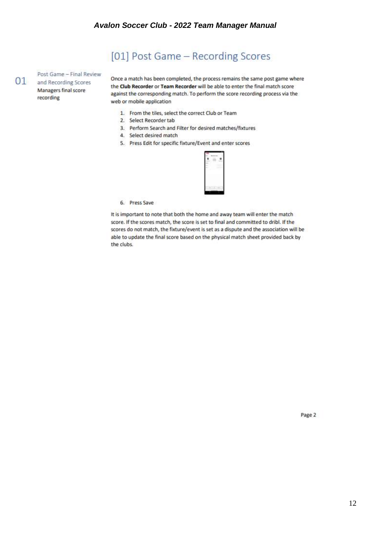# [01] Post Game - Recording Scores

Post Game - Final Review and Recording Scores Managers final score recording

 $01$ 

Once a match has been completed, the process remains the same post game where the Club Recorder or Team Recorder will be able to enter the final match score against the corresponding match. To perform the score recording process via the web or mobile application

- 1. From the tiles, select the correct Club or Team
- 2. Select Recorder tab
- 3. Perform Search and Filter for desired matches/fixtures
- 4. Select desired match
- 5. Press Edit for specific fixture/Event and enter scores

![](_page_12_Picture_9.jpeg)

6. Press Save

It is important to note that both the home and away team will enter the match score. If the scores match, the score is set to final and committed to dribl. If the scores do not match, the fixture/event is set as a dispute and the association will be able to update the final score based on the physical match sheet provided back by the clubs.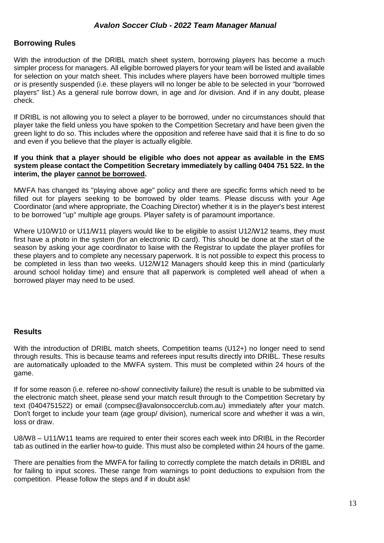### **Borrowing Rules**

With the introduction of the DRIBL match sheet system, borrowing players has become a much simpler process for managers. All eligible borrowed players for your team will be listed and available for selection on your match sheet. This includes where players have been borrowed multiple times or is presently suspended (i.e. these players will no longer be able to be selected in your "borrowed players" list.) As a general rule borrow down, in age and /or division. And if in any doubt, please check.

If DRIBL is not allowing you to select a player to be borrowed, under no circumstances should that player take the field unless you have spoken to the Competition Secretary and have been given the green light to do so. This includes where the opposition and referee have said that it is fine to do so and even if you believe that the player is actually eligible.

#### **If you think that a player should be eligible who does not appear as available in the EMS system please contact the Competition Secretary immediately by calling 0404 751 522. In the interim, the player cannot be borrowed.**

MWFA has changed its "playing above age" policy and there are specific forms which need to be filled out for players seeking to be borrowed by older teams. Please discuss with your Age Coordinator (and where appropriate, the Coaching Director) whether it is in the player's best interest to be borrowed "up" multiple age groups. Player safety is of paramount importance.

Where U10/W10 or U11/W11 players would like to be eligible to assist U12/W12 teams, they must first have a photo in the system (for an electronic ID card). This should be done at the start of the season by asking your age coordinator to liaise with the Registrar to update the player profiles for these players and to complete any necessary paperwork. It is not possible to expect this process to be completed in less than two weeks. U12/W12 Managers should keep this in mind (particularly around school holiday time) and ensure that all paperwork is completed well ahead of when a borrowed player may need to be used.

### **Results**

With the introduction of DRIBL match sheets, Competition teams (U12+) no longer need to send through results. This is because teams and referees input results directly into DRIBL. These results are automatically uploaded to the MWFA system. This must be completed within 24 hours of the game.

If for some reason (i.e. referee no-show/ connectivity failure) the result is unable to be submitted via the electronic match sheet, please send your match result through to the Competition Secretary by text (0404751522) or email (compsec@avalonsoccerclub.com.au) immediately after your match. Don't forget to include your team (age group/ division), numerical score and whether it was a win, loss or draw.

U8/W8 – U11/W11 teams are required to enter their scores each week into DRIBL in the Recorder tab as outlined in the earlier how-to guide. This must also be completed within 24 hours of the game.

There are penalties from the MWFA for failing to correctly complete the match details in DRIBL and for failing to input scores. These range from warnings to point deductions to expulsion from the competition. Please follow the steps and if in doubt ask!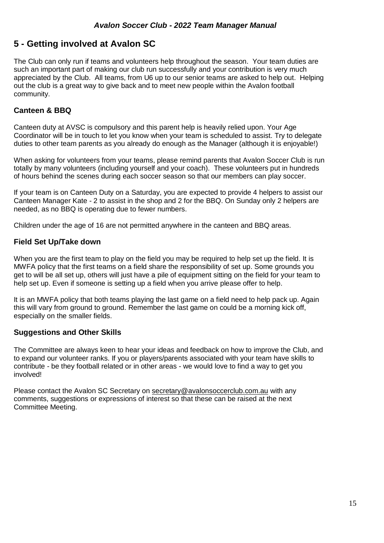# **5 - Getting involved at Avalon SC**

The Club can only run if teams and volunteers help throughout the season. Your team duties are such an important part of making our club run successfully and your contribution is very much appreciated by the Club. All teams, from U6 up to our senior teams are asked to help out. Helping out the club is a great way to give back and to meet new people within the Avalon football community.

### **Canteen & BBQ**

Canteen duty at AVSC is compulsory and this parent help is heavily relied upon. Your Age Coordinator will be in touch to let you know when your team is scheduled to assist. Try to delegate duties to other team parents as you already do enough as the Manager (although it is enjoyable!)

When asking for volunteers from your teams, please remind parents that Avalon Soccer Club is run totally by many volunteers (including yourself and your coach). These volunteers put in hundreds of hours behind the scenes during each soccer season so that our members can play soccer.

If your team is on Canteen Duty on a Saturday, you are expected to provide 4 helpers to assist our Canteen Manager Kate - 2 to assist in the shop and 2 for the BBQ. On Sunday only 2 helpers are needed, as no BBQ is operating due to fewer numbers.

Children under the age of 16 are not permitted anywhere in the canteen and BBQ areas.

### **Field Set Up/Take down**

When you are the first team to play on the field you may be required to help set up the field. It is MWFA policy that the first teams on a field share the responsibility of set up. Some grounds you get to will be all set up, others will just have a pile of equipment sitting on the field for your team to help set up. Even if someone is setting up a field when you arrive please offer to help.

It is an MWFA policy that both teams playing the last game on a field need to help pack up. Again this will vary from ground to ground. Remember the last game on could be a morning kick off, especially on the smaller fields.

### **Suggestions and Other Skills**

The Committee are always keen to hear your ideas and feedback on how to improve the Club, and to expand our volunteer ranks. If you or players/parents associated with your team have skills to contribute - be they football related or in other areas - we would love to find a way to get you involved!

Please contact the Avalon SC Secretary on [secretary@avalonsoccerclub.com.au](mailto:secretary@avalonsoccerclub.com.au) with any comments, suggestions or expressions of interest so that these can be raised at the next Committee Meeting.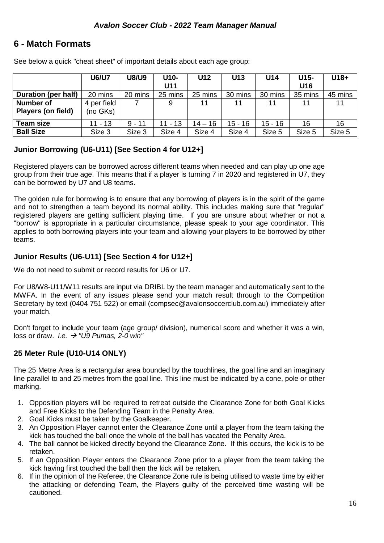### **6 - Match Formats**

|  | See below a quick "cheat sheet" of important details about each age group: |
|--|----------------------------------------------------------------------------|
|--|----------------------------------------------------------------------------|

|                            | <b>U6/U7</b> | <b>U8/U9</b> | U10-<br>U11 | U12       | U13       | U <sub>14</sub> | U15-<br>U16 | $U18+$  |
|----------------------------|--------------|--------------|-------------|-----------|-----------|-----------------|-------------|---------|
| <b>Duration (per half)</b> | 20 mins      | 20 mins      | 25 mins     | 25 mins   | 30 mins   | 30 mins         | 35 mins     | 45 mins |
| <b>Number of</b>           | 4 per field  |              | 9           | 11        | 11        | 11              | 11          |         |
| <b>Players (on field)</b>  | (no GKs)     |              |             |           |           |                 |             |         |
| <b>Team size</b>           | $11 - 13$    | $9 - 11$     | $11 - 13$   | $14 - 16$ | $15 - 16$ | $15 - 16$       | 16          | 16      |
| <b>Ball Size</b>           | Size 3       | Size 3       | Size 4      | Size 4    | Size 4    | Size 5          | Size 5      | Size 5  |

### **Junior Borrowing (U6-U11) [See Section 4 for U12+]**

Registered players can be borrowed across different teams when needed and can play up one age group from their true age. This means that if a player is turning 7 in 2020 and registered in U7, they can be borrowed by U7 and U8 teams.

The golden rule for borrowing is to ensure that any borrowing of players is in the spirit of the game and not to strengthen a team beyond its normal ability. This includes making sure that "regular" registered players are getting sufficient playing time. If you are unsure about whether or not a "borrow" is appropriate in a particular circumstance, please speak to your age coordinator. This applies to both borrowing players into your team and allowing your players to be borrowed by other teams.

### **Junior Results (U6-U11) [See Section 4 for U12+]**

We do not need to submit or record results for U6 or U7.

For U8/W8-U11/W11 results are input via DRIBL by the team manager and automatically sent to the MWFA. In the event of any issues please send your match result through to the Competition Secretary by text (0404 751 522) or email (compsec@avalonsoccerclub.com.au) immediately after your match.

Don't forget to include your team (age group/ division), numerical score and whether it was a win, loss or draw. *i.e.*  $\rightarrow$  "U9 Pumas, 2-0 win"

### **25 Meter Rule (U10-U14 ONLY)**

The 25 Metre Area is a rectangular area bounded by the touchlines, the goal line and an imaginary line parallel to and 25 metres from the goal line. This line must be indicated by a cone, pole or other marking.

- 1. Opposition players will be required to retreat outside the Clearance Zone for both Goal Kicks and Free Kicks to the Defending Team in the Penalty Area.
- 2. Goal Kicks must be taken by the Goalkeeper.
- 3. An Opposition Player cannot enter the Clearance Zone until a player from the team taking the kick has touched the ball once the whole of the ball has vacated the Penalty Area.
- 4. The ball cannot be kicked directly beyond the Clearance Zone. If this occurs, the kick is to be retaken.
- 5. If an Opposition Player enters the Clearance Zone prior to a player from the team taking the kick having first touched the ball then the kick will be retaken.
- 6. If in the opinion of the Referee, the Clearance Zone rule is being utilised to waste time by either the attacking or defending Team, the Players guilty of the perceived time wasting will be cautioned.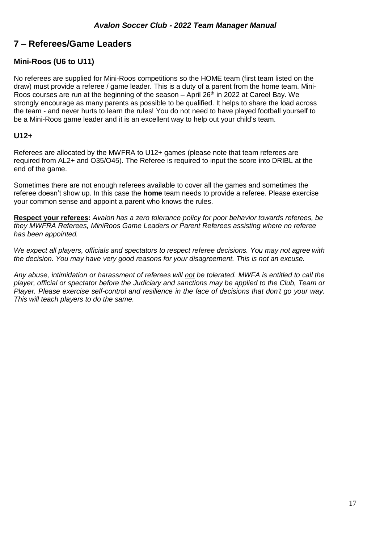# **7 – Referees/Game Leaders**

### **Mini-Roos (U6 to U11)**

No referees are supplied for Mini-Roos competitions so the HOME team (first team listed on the draw) must provide a referee / game leader. This is a duty of a parent from the home team. Mini-Roos courses are run at the beginning of the season  $-$  April 26<sup>th</sup> in 2022 at Careel Bay. We strongly encourage as many parents as possible to be qualified. It helps to share the load across the team - and never hurts to learn the rules! You do not need to have played football yourself to be a Mini-Roos game leader and it is an excellent way to help out your child's team.

### **U12+**

Referees are allocated by the MWFRA to U12+ games (please note that team referees are required from AL2+ and O35/O45). The Referee is required to input the score into DRIBL at the end of the game.

Sometimes there are not enough referees available to cover all the games and sometimes the referee doesn't show up. In this case the **home** team needs to provide a referee. Please exercise your common sense and appoint a parent who knows the rules.

**Respect your referees:** *Avalon has a zero tolerance policy for poor behavior towards referees, be they MWFRA Referees, MiniRoos Game Leaders or Parent Referees assisting where no referee has been appointed.*

*We expect all players, officials and spectators to respect referee decisions. You may not agree with the decision. You may have very good reasons for your disagreement. This is not an excuse.*

*Any abuse, intimidation or harassment of referees will not be tolerated. MWFA is entitled to call the player, official or spectator before the Judiciary and sanctions may be applied to the Club, Team or Player. Please exercise self-control and resilience in the face of decisions that don't go your way. This will teach players to do the same.*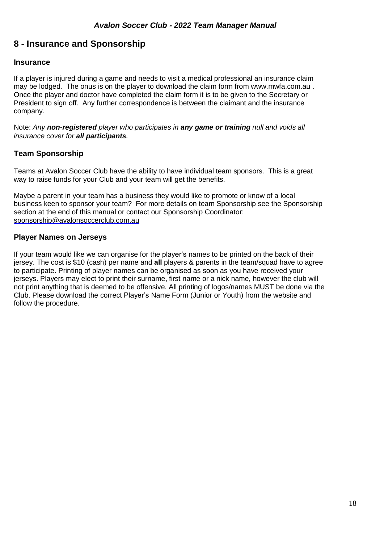# **8 - Insurance and Sponsorship**

### **Insurance**

If a player is injured during a game and needs to visit a medical professional an insurance claim may be lodged. The onus is on the player to download the claim form from [www.mwfa.com.au](http://www.mwfa.com.au/) . Once the player and doctor have completed the claim form it is to be given to the Secretary or President to sign off. Any further correspondence is between the claimant and the insurance company.

Note: *Any non-registered player who participates in any game or training null and voids all insurance cover for all participants.*

### **Team Sponsorship**

Teams at Avalon Soccer Club have the ability to have individual team sponsors. This is a great way to raise funds for your Club and your team will get the benefits.

Maybe a parent in your team has a business they would like to promote or know of a local business keen to sponsor your team? For more details on team Sponsorship see the Sponsorship section at the end of this manual or contact our Sponsorship Coordinator: [sponsorship@avalonsoccerclub.com.au](mailto:sponsorship@avalonsoccerclub.com.au)

### **Player Names on Jerseys**

If your team would like we can organise for the player's names to be printed on the back of their jersey. The cost is \$10 (cash) per name and **all** players & parents in the team/squad have to agree to participate. Printing of player names can be organised as soon as you have received your jerseys. Players may elect to print their surname, first name or a nick name, however the club will not print anything that is deemed to be offensive. All printing of logos/names MUST be done via the Club. Please download the correct Player's Name Form (Junior or Youth) from the website and follow the procedure.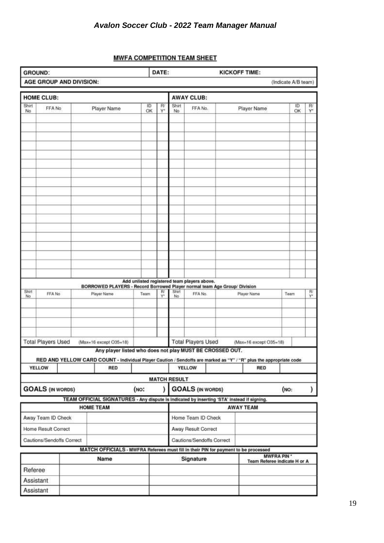### **MWFA COMPETITION TEAM SHEET**

| <b>GROUND:</b> |                           |  |                         |                                                                                                                    |                                             | DATE:    |                     |                           |  | <b>KICKOFF TIME:</b> |                              |                    |                     |                |
|----------------|---------------------------|--|-------------------------|--------------------------------------------------------------------------------------------------------------------|---------------------------------------------|----------|---------------------|---------------------------|--|----------------------|------------------------------|--------------------|---------------------|----------------|
|                |                           |  | AGE GROUP AND DIVISION: |                                                                                                                    |                                             |          |                     |                           |  |                      |                              |                    | (Indicate A/B team) |                |
|                | <b>HOME CLUB:</b>         |  |                         |                                                                                                                    |                                             |          |                     | <b>AWAY CLUB:</b>         |  |                      |                              |                    |                     |                |
| Shirt<br>No.   | FFA No                    |  |                         | Player Name                                                                                                        | ID<br>OK                                    | R<br>Y٠  | Shirt<br>No         | FFA No.                   |  |                      | Player Name                  |                    | łD<br>OK            | R/<br>Y.       |
|                |                           |  |                         |                                                                                                                    |                                             |          |                     |                           |  |                      |                              |                    |                     |                |
|                |                           |  |                         |                                                                                                                    |                                             |          |                     |                           |  |                      |                              |                    |                     |                |
|                |                           |  |                         |                                                                                                                    |                                             |          |                     |                           |  |                      |                              |                    |                     |                |
|                |                           |  |                         |                                                                                                                    |                                             |          |                     |                           |  |                      |                              |                    |                     |                |
|                |                           |  |                         |                                                                                                                    |                                             |          |                     |                           |  |                      |                              |                    |                     |                |
|                |                           |  |                         |                                                                                                                    |                                             |          |                     |                           |  |                      |                              |                    |                     |                |
|                |                           |  |                         |                                                                                                                    |                                             |          |                     |                           |  |                      |                              |                    |                     |                |
|                |                           |  |                         |                                                                                                                    |                                             |          |                     |                           |  |                      |                              |                    |                     |                |
|                |                           |  |                         |                                                                                                                    |                                             |          |                     |                           |  |                      |                              |                    |                     |                |
|                |                           |  |                         |                                                                                                                    |                                             |          |                     |                           |  |                      |                              |                    |                     |                |
|                |                           |  |                         |                                                                                                                    |                                             |          |                     |                           |  |                      |                              |                    |                     |                |
|                |                           |  |                         |                                                                                                                    |                                             |          |                     |                           |  |                      |                              |                    |                     |                |
|                |                           |  |                         |                                                                                                                    |                                             |          |                     |                           |  |                      |                              |                    |                     |                |
|                |                           |  |                         |                                                                                                                    |                                             |          |                     |                           |  |                      |                              |                    |                     |                |
|                |                           |  |                         |                                                                                                                    |                                             |          |                     |                           |  |                      |                              |                    |                     |                |
|                |                           |  |                         |                                                                                                                    |                                             |          |                     |                           |  |                      |                              |                    |                     |                |
|                |                           |  |                         | BORROWED PLAYERS - Record Borrowed Player normal team Age Group/ Division                                          | Add unlisted registered team players above. |          |                     |                           |  |                      |                              |                    |                     |                |
| Shirt<br>No    | FFA No                    |  |                         | Player Name                                                                                                        | Team                                        | RI<br>Ÿ۴ | Shirt<br>No.        | FFA No.                   |  | Player Name          |                              |                    | Team                | $\frac{R'}{Y}$ |
|                |                           |  |                         |                                                                                                                    |                                             |          |                     |                           |  |                      |                              |                    |                     |                |
|                |                           |  |                         |                                                                                                                    |                                             |          |                     |                           |  |                      |                              |                    |                     |                |
|                |                           |  |                         |                                                                                                                    |                                             |          |                     |                           |  |                      |                              |                    |                     |                |
|                |                           |  |                         |                                                                                                                    |                                             |          |                     |                           |  |                      |                              |                    |                     |                |
|                | <b>Total Players Used</b> |  |                         | $(Max=16$ except $O35=18$ )<br>Any player listed who does not play MUST BE CROSSED OUT.                            |                                             |          |                     | <b>Total Players Used</b> |  |                      | (Max=16 except O35=18)       |                    |                     |                |
|                |                           |  |                         | RED AND YELLOW CARD COUNT - Individual Player Caution / Sendoffs are marked as "Y" / "R" plus the appropriate code |                                             |          |                     |                           |  |                      |                              |                    |                     |                |
|                | <b>YELLOW</b>             |  |                         | RED                                                                                                                |                                             |          |                     | <b>YELLOW</b>             |  |                      | RED                          |                    |                     |                |
|                |                           |  |                         |                                                                                                                    |                                             |          | <b>MATCH RESULT</b> |                           |  |                      |                              |                    |                     |                |
|                | <b>GOALS (IN WORDS)</b>   |  |                         |                                                                                                                    | (NO:                                        | ١        |                     | <b>GOALS (IN WORDS)</b>   |  |                      |                              | (NO:               |                     | )              |
|                |                           |  |                         | TEAM OFFICIAL SIGNATURES - Any dispute is indicated by inserting 'STA' instead if signing.                         |                                             |          |                     |                           |  |                      |                              |                    |                     |                |
|                |                           |  | <b>HOME TEAM</b>        |                                                                                                                    |                                             |          |                     |                           |  |                      | <b>AWAY TEAM</b>             |                    |                     |                |
|                | Away Team ID Check        |  |                         |                                                                                                                    |                                             |          |                     | Home Team ID Check        |  |                      |                              |                    |                     |                |
|                | Home Result Correct       |  |                         |                                                                                                                    |                                             |          |                     | Away Result Correct       |  |                      |                              |                    |                     |                |
|                | Cautions/Sendoffs Correct |  |                         |                                                                                                                    |                                             |          |                     | Cautions/Sendoffs Correct |  |                      |                              |                    |                     |                |
|                |                           |  |                         | MATCH OFFICIALS - MWFRA Referees must fill in their PIN for payment to be processed                                |                                             |          |                     |                           |  |                      |                              |                    |                     |                |
|                |                           |  |                         | Name                                                                                                               |                                             |          |                     | Signature                 |  |                      | Team Referee indicate H or A | <b>MWFRA PIN *</b> |                     |                |
| Referee        |                           |  |                         |                                                                                                                    |                                             |          |                     |                           |  |                      |                              |                    |                     |                |
| Assistant      |                           |  |                         |                                                                                                                    |                                             |          |                     |                           |  |                      |                              |                    |                     |                |
| Assistant      |                           |  |                         |                                                                                                                    |                                             |          |                     |                           |  |                      |                              |                    |                     |                |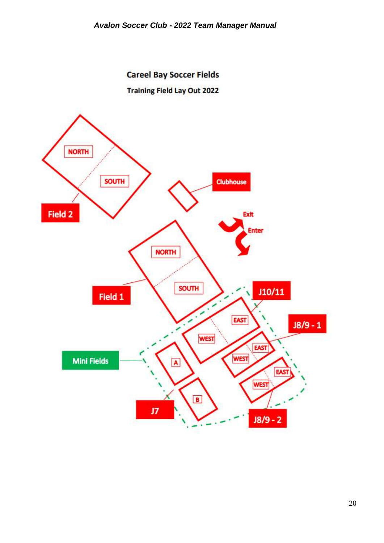**Careel Bay Soccer Fields Training Field Lay Out 2022** 

![](_page_20_Figure_2.jpeg)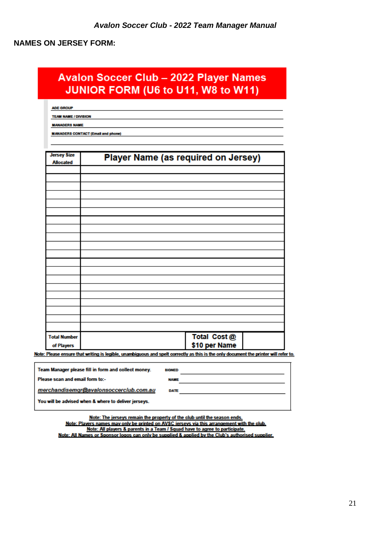### **NAMES ON JERSEY FORM:**

# **Avalon Soccer Club - 2022 Player Names** JUNIOR FORM (U6 to U11, W8 to W11)

AGE GROUP

TEAM NAME / DIVISION

**MANAGERS NAME** 

**MANAGERS CONTACT (Email and phone)** 

| <b>Jersey Size</b><br><b>Allocated</b> | Player Name (as required on Jersey) |
|----------------------------------------|-------------------------------------|
|                                        |                                     |
|                                        |                                     |
|                                        |                                     |
|                                        |                                     |
|                                        |                                     |
|                                        |                                     |
|                                        |                                     |
|                                        |                                     |
|                                        |                                     |
|                                        |                                     |
|                                        |                                     |
|                                        |                                     |
|                                        |                                     |
|                                        |                                     |
|                                        |                                     |
|                                        |                                     |
|                                        |                                     |
|                                        |                                     |
| <b>Total Number</b>                    | Total Cost @                        |
| of Players                             | \$10 per Name                       |

Note: Please ensure that writing is legible, unambiguous and spelt correctly as this is the only document the printer will refer to.

| Team Manager please fill in form and collect money.  | <b>SIGNED</b> |  |
|------------------------------------------------------|---------------|--|
| Please scan and email form to:-                      | <b>NAME</b>   |  |
| merchandisemgr@avalonsoccerclub.com.au               | <b>DATE</b>   |  |
| You will be advised when & where to deliver jerseys. |               |  |

Note: The jerseys remain the property of the club until the season ends. Note: Players names may only be printed on AVSC ierseys via this arrangement with the club. Note: All players & parents in a Team / Squad have to agree to participate. Note: All Names or Sponsor logos can only be supplied & applied by the Club's authorised supplier.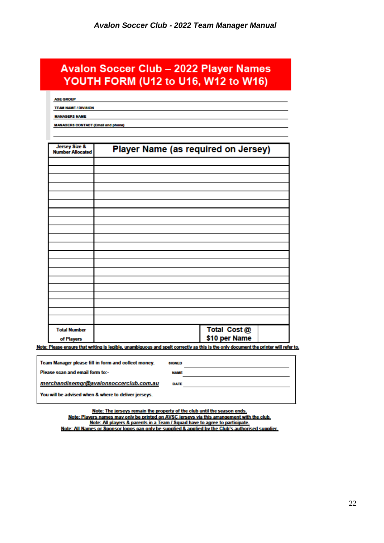# **Avalon Soccer Club - 2022 Player Names** YOUTH FORM (U12 to U16, W12 to W16)

**AGE GROUP** 

**TEAM NAME / DIVISION** 

**MANAGERS NAME** 

**MANAGERS CONTACT (Email and phone)** 

| <b>Jersey Size &amp;</b><br><b>Number Allocated</b> | Player Name (as required on Jersey) |
|-----------------------------------------------------|-------------------------------------|
|                                                     |                                     |
|                                                     |                                     |
|                                                     |                                     |
|                                                     |                                     |
|                                                     |                                     |
|                                                     |                                     |
|                                                     |                                     |
|                                                     |                                     |
|                                                     |                                     |
|                                                     |                                     |
|                                                     |                                     |
|                                                     |                                     |
|                                                     |                                     |
|                                                     |                                     |
|                                                     |                                     |
|                                                     |                                     |
|                                                     |                                     |
|                                                     |                                     |
|                                                     |                                     |
| <b>Total Number</b>                                 | Total Cost @                        |
| of Players                                          | \$10 per Name                       |

Note: Please ensure that writing is legible, unambiguous and spelt correctly as this is the only document the printer will refer to.

| Team Manager please fill in form and collect money.  | <b>SIGNED</b> |  |
|------------------------------------------------------|---------------|--|
| Please scan and email form to:-                      | <b>NAME</b>   |  |
| merchandisemgr@avalonsoccerclub.com.au               | <b>DATE</b>   |  |
| You will be advised when & where to deliver jerseys. |               |  |

Note: The jerseys remain the property of the club until the season ends. Note: Players names may only be printed on AVSC ierseys via this arrangement with the club. Note: All players & parents in a Team / Squad have to agree to participate. Note: All Names or Sponsor logos can only be supplied & applied by the Club's authorised supplier.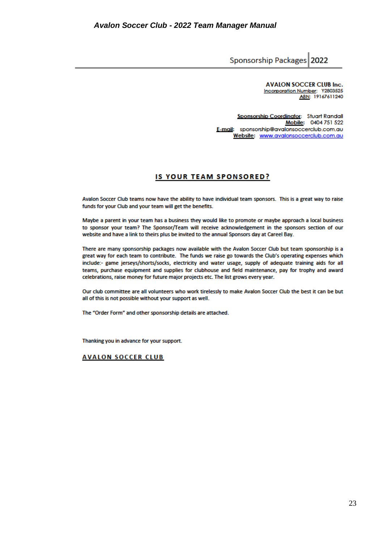Sponsorship Packages 2022

**AVALON SOCCER CLUB Inc.** Incorporation Number: Y2803525

Sponsorship Coordinator: Stuart Randall Mobile: 0404 751 522 E-mail: sponsorship@avalonsoccerclub.com.au Website: www.avalonsoccerclub.com.au

### **IS YOUR TEAM SPONSORED?**

Avalon Soccer Club teams now have the ability to have individual team sponsors. This is a great way to raise funds for your Club and your team will get the benefits.

Maybe a parent in your team has a business they would like to promote or maybe approach a local business to sponsor your team? The Sponsor/Team will receive acknowledgement in the sponsors section of our website and have a link to theirs plus be invited to the annual Sponsors day at Careel Bay.

There are many sponsorship packages now available with the Avalon Soccer Club but team sponsorship is a great way for each team to contribute. The funds we raise go towards the Club's operating expenses which include:- game jerseys/shorts/socks, electricity and water usage, supply of adequate training aids for all teams, purchase equipment and supplies for clubhouse and field maintenance, pay for trophy and award celebrations, raise money for future major projects etc. The list grows every year.

Our club committee are all volunteers who work tirelessly to make Avalon Soccer Club the best it can be but all of this is not possible without your support as well.

The "Order Form" and other sponsorship details are attached.

Thanking you in advance for your support.

#### **AVALON SOCCER CLUB**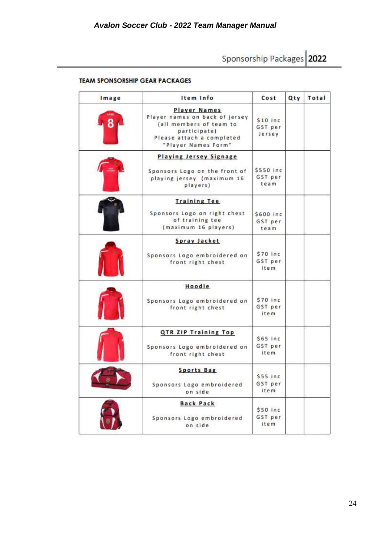Sponsorship Packages 2022

| <b>TEAM SPONSORSHIP GEAR PACKAGES</b> |  |
|---------------------------------------|--|
|---------------------------------------|--|

| Image          | Item Info                                                                                                                                     | Cost                           | Qty | Total |
|----------------|-----------------------------------------------------------------------------------------------------------------------------------------------|--------------------------------|-----|-------|
| 8              | Player Names<br>Player names on back of jersey<br>(all members of team to<br>participate)<br>Please attach a completed<br>"Player Names Form" | $$10$ inc<br>GST per<br>Jersey |     |       |
|                | <b>Playing Jersey Signage</b><br>Sponsors Logo on the front of<br>playing jersey (maximum 16<br>players)                                      | \$550 inc<br>GST per<br>team   |     |       |
|                | <b>Training Tee</b><br>Sponsors Logo on right chest<br>of training tee<br>(maximum 16 players)                                                | \$600 inc<br>GST per<br>team   |     |       |
|                | Spray Jacket<br>Sponsors Logo embroidered on<br>front right chest                                                                             | \$70 inc<br>GST per<br>item    |     |       |
|                | Hoodie<br>Sponsors Logo embroidered on<br>front right chest                                                                                   | \$70 inc<br>GST per<br>item.   |     |       |
|                | QTR ZIP Training Top<br>Sponsors Logo embroidered on<br>front right chest                                                                     | $$65$ inc<br>GST per<br>item   |     |       |
| $\overline{r}$ | <b>Sports Bag</b><br>Sponsors Logo embroidered<br>on side                                                                                     | $$55$ inc<br>GST per<br>item   |     |       |
|                | <b>Back Pack</b><br>Sponsors Logo embroidered<br>on side                                                                                      | \$50 inc<br>GST per<br>item    |     |       |